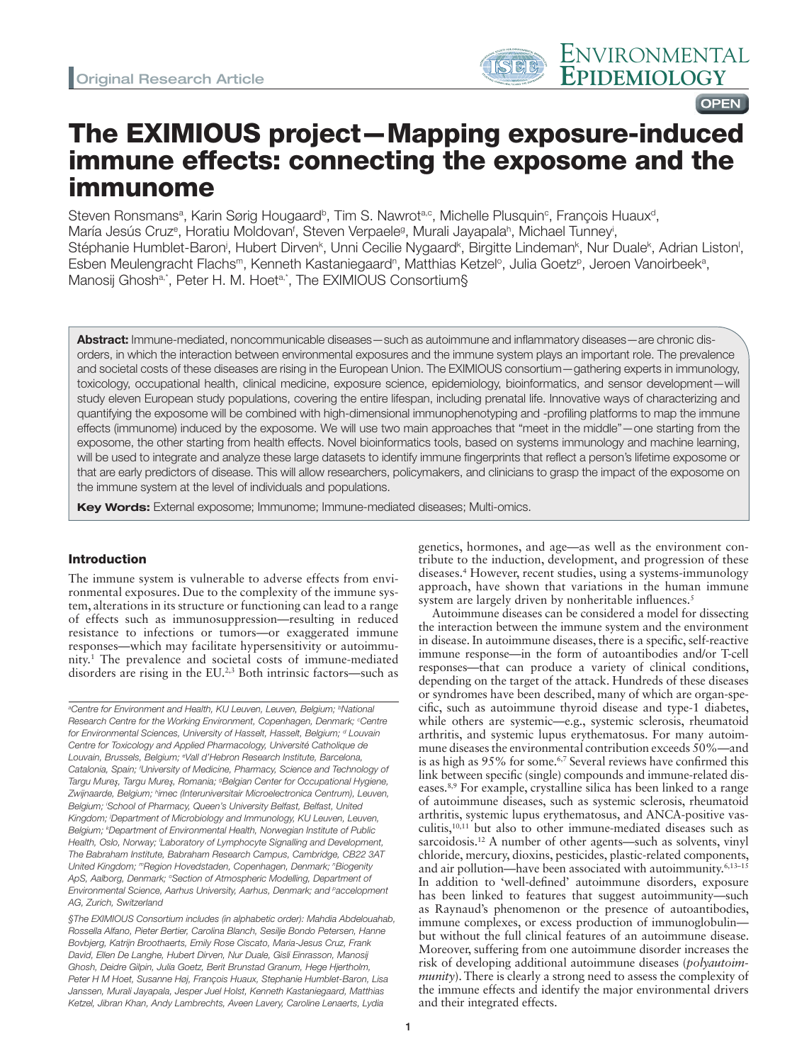# The EXIMIOUS project—Mapping exposure-induced immune effects: connecting the exposome and the immunome

Steven Ronsmans<sup>a</sup>, Karin Sørig Hougaard<sup>b</sup>, Tim S. Nawrot<sup>a,c</sup>, Michelle Plusquin<sup>c</sup>, François Huaux<sup>d</sup>, María Jesús Cruz<sup>e</sup>, Horatiu Moldovan<sup>f</sup>, Steven Verpaele<sup>g</sup>, Murali Jayapala<sup>n</sup>, Michael Tunney<sup>i</sup>, Stéphanie Humblet-Baron<sup>i</sup>, Hubert Dirven<sup>k</sup>, Unni Cecilie Nygaard<sup>k</sup>, Birgitte Lindeman<sup>k</sup>, Nur Duale<sup>k</sup>, Adrian Liston<sup>i</sup>, Esben Meulengracht Flachs<sup>m</sup>, Kenneth Kastaniegaard<sup>n</sup>, Matthias Ketzel°, Julia Goetz<sup>p</sup>, Jeroen Vanoirbeek<sup>a</sup>, Manosij Ghosh<sup>a,\*</sup>, Peter H. M. Hoet<sup>a,\*</sup>, The EXIMIOUS Consortium§

Abstract: Immune-mediated, noncommunicable diseases - such as autoimmune and inflammatory diseases - are chronic disorders, in which the interaction between environmental exposures and the immune system plays an important role. The prevalence and societal costs of these diseases are rising in the European Union. The EXIMIOUS consortium—gathering experts in immunology, toxicology, occupational health, clinical medicine, exposure science, epidemiology, bioinformatics, and sensor development—will study eleven European study populations, covering the entire lifespan, including prenatal life. Innovative ways of characterizing and quantifying the exposome will be combined with high-dimensional immunophenotyping and -profiling platforms to map the immune effects (immunome) induced by the exposome. We will use two main approaches that "meet in the middle"—one starting from the exposome, the other starting from health effects. Novel bioinformatics tools, based on systems immunology and machine learning, will be used to integrate and analyze these large datasets to identify immune fingerprints that reflect a person's lifetime exposome or that are early predictors of disease. This will allow researchers, policymakers, and clinicians to grasp the impact of the exposome on the immune system at the level of individuals and populations.

Key Words: External exposome; Immunome; Immune-mediated diseases; Multi-omics.

## Introduction

The immune system is vulnerable to adverse effects from environmental exposures. Due to the complexity of the immune system, alterations in its structure or functioning can lead to a range of effects such as immunosuppression—resulting in reduced resistance to infections or tumors—or exaggerated immune responses—which may facilitate hypersensitivity or autoimmunity.1 The prevalence and societal costs of immune-mediated disorders are rising in the EU.<sup>2,3</sup> Both intrinsic factors—such as

genetics, hormones, and age—as well as the environment contribute to the induction, development, and progression of these diseases.4 However, recent studies, using a systems-immunology approach, have shown that variations in the human immune system are largely driven by nonheritable influences.<sup>5</sup>

ENVIRONMENTAL **EPIDEMIOLOGY**

**OPEN** 

Autoimmune diseases can be considered a model for dissecting the interaction between the immune system and the environment in disease. In autoimmune diseases, there is a specific, self-reactive immune response—in the form of autoantibodies and/or T-cell responses—that can produce a variety of clinical conditions, depending on the target of the attack. Hundreds of these diseases or syndromes have been described, many of which are organ-specific, such as autoimmune thyroid disease and type-1 diabetes, while others are systemic—e.g., systemic sclerosis, rheumatoid arthritis, and systemic lupus erythematosus. For many autoimmune diseases the environmental contribution exceeds 50%—and is as high as 95% for some.<sup>6,7</sup> Several reviews have confirmed this link between specific (single) compounds and immune-related diseases.8,9 For example, crystalline silica has been linked to a range of autoimmune diseases, such as systemic sclerosis, rheumatoid arthritis, systemic lupus erythematosus, and ANCA-positive vasculitis,10,11 but also to other immune-mediated diseases such as sarcoidosis.12 A number of other agents—such as solvents, vinyl chloride, mercury, dioxins, pesticides, plastic-related components, and air pollution—have been associated with autoimmunity.<sup>6,13-15</sup> In addition to 'well-defined' autoimmune disorders, exposure has been linked to features that suggest autoimmunity—such as Raynaud's phenomenon or the presence of autoantibodies, immune complexes, or excess production of immunoglobulin but without the full clinical features of an autoimmune disease. Moreover, suffering from one autoimmune disorder increases the risk of developing additional autoimmune diseases (*polyautoimmunity*). There is clearly a strong need to assess the complexity of the immune effects and identify the major environmental drivers and their integrated effects.

<sup>&</sup>lt;sup>a</sup> Centre for Environment and Health, KU Leuven, Leuven, Belgium; <sup>b</sup>National Research Centre for the Working Environment, Copenhagen, Denmark; <sup>c</sup>Centre for Environmental Sciences, University of Hasselt, Hasselt, Belgium; d Louvain *Centre for Toxicology and Applied Pharmacology, Université Catholique de Louvain, Brussels, Belgium; e Vall d'Hebron Research Institute, Barcelona, Catalonia, Spain; f University of Medicine, Pharmacy, Science and Technology of Targu Mureş, Targu Mureş, Romania; g Belgian Center for Occupational Hygiene, Zwijnaarde, Belgium; h imec (Interuniversitair Microelectronica Centrum), Leuven, Belgium; i School of Pharmacy, Queen's University Belfast, Belfast, United Kingdom; j Department of Microbiology and Immunology, KU Leuven, Leuven, Belgium; k Department of Environmental Health, Norwegian Institute of Public Health, Oslo, Norway; l Laboratory of Lymphocyte Signalling and Development, The Babraham Institute, Babraham Research Campus, Cambridge, CB22 3AT*  United Kingdom; mRegion Hovedstaden, Copenhagen, Denmark; <sup>n</sup>Biogenity ApS, Aalborg, Denmark; <sup>o</sup>Section of Atmospheric Modelling, Department of *Environmental Science, Aarhus University, Aarhus, Denmark; and paccelopment AG, Zurich, Switzerland*

*<sup>§</sup>The EXIMIOUS Consortium includes (in alphabetic order): Mahdia Abdelouahab, Rossella Alfano, Pieter Bertier, Carolina Blanch, Sesilje Bondo Petersen, Hanne Bovbjerg, Katrijn Broothaerts, Emily Rose Ciscato, Maria-Jesus Cruz, Frank David, Ellen De Langhe, Hubert Dirven, Nur Duale, Gisli Einrasson, Manosij Ghosh, Deidre Gilpin, Julia Goetz, Berit Brunstad Granum, Hege Hjertholm, Peter H M Hoet, Susanne Høj, François Huaux, Stephanie Humblet-Baron, Lisa Janssen, Murali Jayapala, Jesper Juel Holst, Kenneth Kastaniegaard, Matthias Ketzel, Jibran Khan, Andy Lambrechts, Aveen Lavery, Caroline Lenaerts, Lydia*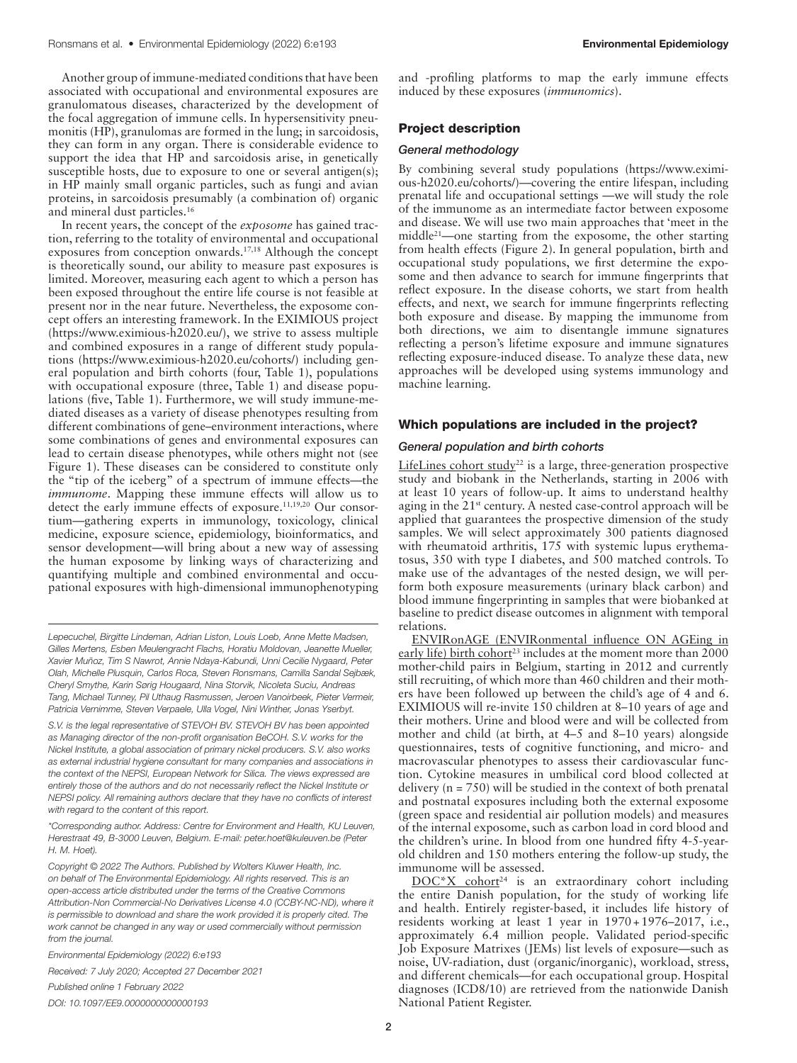Another group of immune-mediated conditions that have been associated with occupational and environmental exposures are granulomatous diseases, characterized by the development of the focal aggregation of immune cells. In hypersensitivity pneumonitis (HP), granulomas are formed in the lung; in sarcoidosis, they can form in any organ. There is considerable evidence to support the idea that HP and sarcoidosis arise, in genetically susceptible hosts, due to exposure to one or several antigen(s); in HP mainly small organic particles, such as fungi and avian proteins, in sarcoidosis presumably (a combination of) organic and mineral dust particles.16

In recent years, the concept of the *exposome* has gained traction, referring to the totality of environmental and occupational exposures from conception onwards.17,18 Although the concept is theoretically sound, our ability to measure past exposures is limited. Moreover, measuring each agent to which a person has been exposed throughout the entire life course is not feasible at present nor in the near future. Nevertheless, the exposome concept offers an interesting framework. In the EXIMIOUS project [\(https://www.eximious-h2020.eu/\)](https://www.eximious-h2020.eu/), we strive to assess multiple and combined exposures in a range of different study populations [\(https://www.eximious-h2020.eu/cohorts/\)](https://www.eximious-h2020.eu/cohorts/) including general population and birth cohorts (four, Table 1), populations with occupational exposure (three, Table 1) and disease populations (five, Table 1). Furthermore, we will study immune-mediated diseases as a variety of disease phenotypes resulting from different combinations of gene–environment interactions, where some combinations of genes and environmental exposures can lead to certain disease phenotypes, while others might not (see Figure 1). These diseases can be considered to constitute only the "tip of the iceberg" of a spectrum of immune effects—the *immunome*. Mapping these immune effects will allow us to detect the early immune effects of exposure.<sup>11,19,20</sup> Our consortium—gathering experts in immunology, toxicology, clinical medicine, exposure science, epidemiology, bioinformatics, and sensor development—will bring about a new way of assessing the human exposome by linking ways of characterizing and quantifying multiple and combined environmental and occupational exposures with high-dimensional immunophenotyping

*Lepecuchel, Birgitte Lindeman, Adrian Liston, Louis Loeb, Anne Mette Madsen, Gilles Mertens, Esben Meulengracht Flachs, Horatiu Moldovan, Jeanette Mueller, Xavier Muñoz, Tim S Nawrot, Annie Ndaya-Kabundi, Unni Cecilie Nygaard, Peter Olah, Michelle Plusquin, Carlos Roca, Steven Ronsmans, Camilla Sandal Sejbæk, Cheryl Smythe, Karin Sørig Hougaard, Nina Storvik, Nicoleta Suciu, Andreas Tang, Michael Tunney, Pil Uthaug Rasmussen, Jeroen Vanoirbeek, Pieter Vermeir, Patricia Vernimme, Steven Verpaele, Ulla Vogel, Nini Winther, Jonas Yserbyt.*

*S.V. is the legal representative of STEVOH BV. STEVOH BV has been appointed as Managing director of the non-profit organisation BeCOH. S.V. works for the Nickel Institute, a global association of primary nickel producers. S.V. also works as external industrial hygiene consultant for many companies and associations in the context of the NEPSI, European Network for Silica. The views expressed are entirely those of the authors and do not necessarily reflect the Nickel Institute or NEPSI policy. All remaining authors declare that they have no conflicts of interest with regard to the content of this report.*

*\*Corresponding author. Address: Centre for Environment and Health, KU Leuven, Herestraat 49, B-3000 Leuven, Belgium. E-mail: peter.hoet@kuleuven.be (Peter H. M. Hoet).*

*Copyright © 2022 The Authors. Published by Wolters Kluwer Health, Inc. on behalf of The Environmental Epidemiology. All rights reserved. This is an open-access article distributed under the terms of the [Creative Commons](http://creativecommons.org/licenses/by-nc-nd/4.0/)  [Attribution-Non Commercial-No Derivatives License 4.0 \(CCBY-NC-ND\),](http://creativecommons.org/licenses/by-nc-nd/4.0/) where it is permissible to download and share the work provided it is properly cited. The work cannot be changed in any way or used commercially without permission from the journal.*

*Environmental Epidemiology (2022) 6:e193*

*Received: 7 July 2020; Accepted 27 December 2021 Published online 1 February 2022*

*DOI: 10.1097/EE9.0000000000000193*

and -profiling platforms to map the early immune effects induced by these exposures (*immunomics*).

## Project description

## *General methodology*

By combining several study populations ([https://www.eximi](https://www.eximious-h2020.eu/eximious-cohorts/)[ous-h2020.eu/cohorts/](https://www.eximious-h2020.eu/eximious-cohorts/))—covering the entire lifespan, including prenatal life and occupational settings —we will study the role of the immunome as an intermediate factor between exposome and disease. We will use two main approaches that 'meet in the middle21—one starting from the exposome, the other starting from health effects (Figure 2). In general population, birth and occupational study populations, we first determine the exposome and then advance to search for immune fingerprints that reflect exposure. In the disease cohorts, we start from health effects, and next, we search for immune fingerprints reflecting both exposure and disease. By mapping the immunome from both directions, we aim to disentangle immune signatures reflecting a person's lifetime exposure and immune signatures reflecting exposure-induced disease. To analyze these data, new approaches will be developed using systems immunology and machine learning.

#### Which populations are included in the project?

#### *General population and birth cohorts*

LifeLines cohort study<sup>22</sup> is a large, three-generation prospective study and biobank in the Netherlands, starting in 2006 with at least 10 years of follow-up. It aims to understand healthy aging in the 21<sup>st</sup> century. A nested case-control approach will be applied that guarantees the prospective dimension of the study samples. We will select approximately 300 patients diagnosed with rheumatoid arthritis, 175 with systemic lupus erythematosus, 350 with type I diabetes, and 500 matched controls. To make use of the advantages of the nested design, we will perform both exposure measurements (urinary black carbon) and blood immune fingerprinting in samples that were biobanked at baseline to predict disease outcomes in alignment with temporal relations.

ENVIRonAGE (ENVIRonmental influence ON AGEing in early life) birth cohort<sup>23</sup> includes at the moment more than  $2000$ mother-child pairs in Belgium, starting in 2012 and currently still recruiting, of which more than 460 children and their mothers have been followed up between the child's age of 4 and 6. EXIMIOUS will re-invite 150 children at 8–10 years of age and their mothers. Urine and blood were and will be collected from mother and child (at birth, at 4–5 and 8–10 years) alongside questionnaires, tests of cognitive functioning, and micro- and macrovascular phenotypes to assess their cardiovascular function. Cytokine measures in umbilical cord blood collected at delivery  $(n = 750)$  will be studied in the context of both prenatal and postnatal exposures including both the external exposome (green space and residential air pollution models) and measures of the internal exposome, such as carbon load in cord blood and the children's urine. In blood from one hundred fifty 4-5-yearold children and 150 mothers entering the follow-up study, the immunome will be assessed.

 $DOC^*X$  cohort<sup>24</sup> is an extraordinary cohort including the entire Danish population, for the study of working life and health. Entirely register-based, it includes life history of residents working at least 1 year in 1970+1976–2017, i.e., approximately 6.4 million people. Validated period-specific Job Exposure Matrixes (JEMs) list levels of exposure—such as noise, UV-radiation, dust (organic/inorganic), workload, stress, and different chemicals—for each occupational group. Hospital diagnoses (ICD8/10) are retrieved from the nationwide Danish National Patient Register.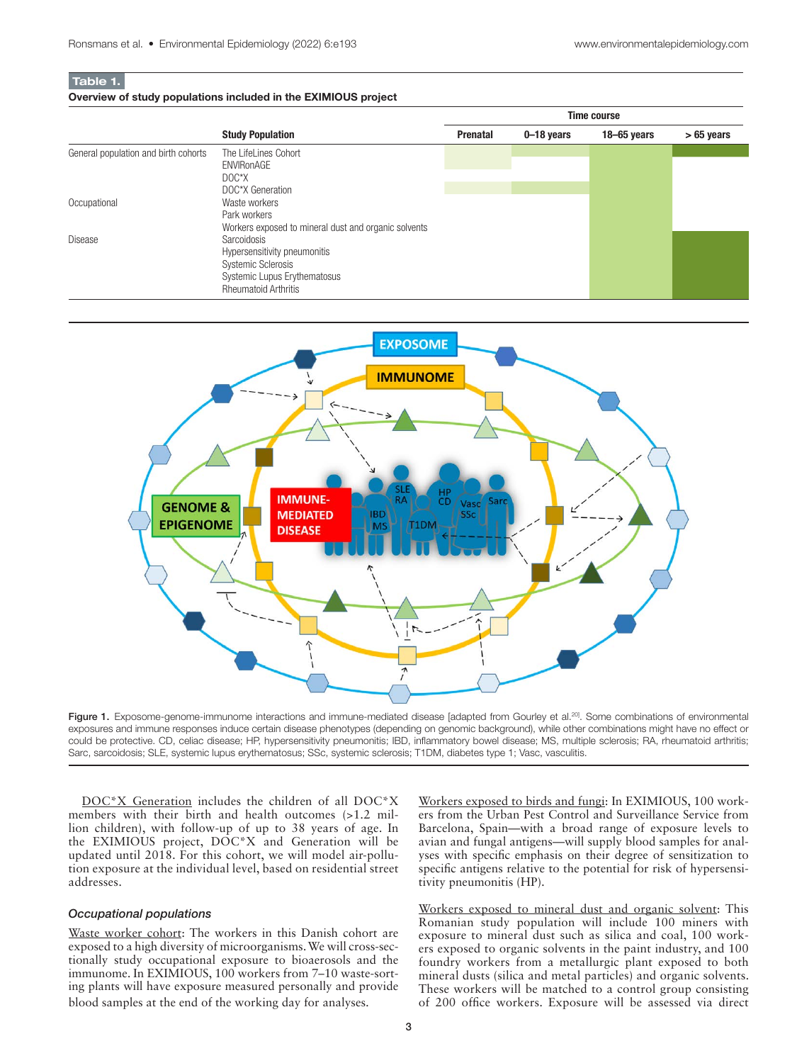# Table 1.

#### Overview of study populations included in the EXIMIOUS project

|                                      |                                                                                                                                         | <b>Time course</b> |                |                 |             |
|--------------------------------------|-----------------------------------------------------------------------------------------------------------------------------------------|--------------------|----------------|-----------------|-------------|
|                                      | <b>Study Population</b>                                                                                                                 | <b>Prenatal</b>    | $0 - 18$ years | $18 - 65$ years | $>65$ years |
| General population and birth cohorts | The LifeLines Cohort<br>ENVIRonAGE<br>$DOC^*X$<br>DOC*X Generation                                                                      |                    |                |                 |             |
| Occupational                         | Waste workers<br>Park workers<br>Workers exposed to mineral dust and organic solvents                                                   |                    |                |                 |             |
| Disease                              | <b>Sarcoidosis</b><br>Hypersensitivity pneumonitis<br>Systemic Sclerosis<br>Systemic Lupus Erythematosus<br><b>Rheumatoid Arthritis</b> |                    |                |                 |             |



Figure 1. Exposome-genome-immunome interactions and immune-mediated disease [adapted from Gourley et al.<sup>20]</sup>. Some combinations of environmental exposures and immune responses induce certain disease phenotypes (depending on genomic background), while other combinations might have no effect or could be protective. CD, celiac disease; HP, hypersensitivity pneumonitis; IBD, inflammatory bowel disease; MS, multiple sclerosis; RA, rheumatoid arthritis; Sarc, sarcoidosis; SLE, systemic lupus erythematosus; SSc, systemic sclerosis; T1DM, diabetes type 1; Vasc, vasculitis.

DOC\*X Generation includes the children of all DOC\*X members with their birth and health outcomes (>1.2 million children), with follow-up of up to 38 years of age. In the EXIMIOUS project, DOC\*X and Generation will be updated until 2018. For this cohort, we will model air-pollution exposure at the individual level, based on residential street addresses.

## *Occupational populations*

Waste worker cohort: The workers in this Danish cohort are exposed to a high diversity of microorganisms. We will cross-sectionally study occupational exposure to bioaerosols and the immunome. In EXIMIOUS, 100 workers from 7–10 waste-sorting plants will have exposure measured personally and provide blood samples at the end of the working day for analyses.

Workers exposed to birds and fungi: In EXIMIOUS, 100 workers from the Urban Pest Control and Surveillance Service from Barcelona, Spain—with a broad range of exposure levels to avian and fungal antigens—will supply blood samples for analyses with specific emphasis on their degree of sensitization to specific antigens relative to the potential for risk of hypersensitivity pneumonitis (HP).

Workers exposed to mineral dust and organic solvent: This Romanian study population will include 100 miners with exposure to mineral dust such as silica and coal, 100 workers exposed to organic solvents in the paint industry, and 100 foundry workers from a metallurgic plant exposed to both mineral dusts (silica and metal particles) and organic solvents. These workers will be matched to a control group consisting of 200 office workers. Exposure will be assessed via direct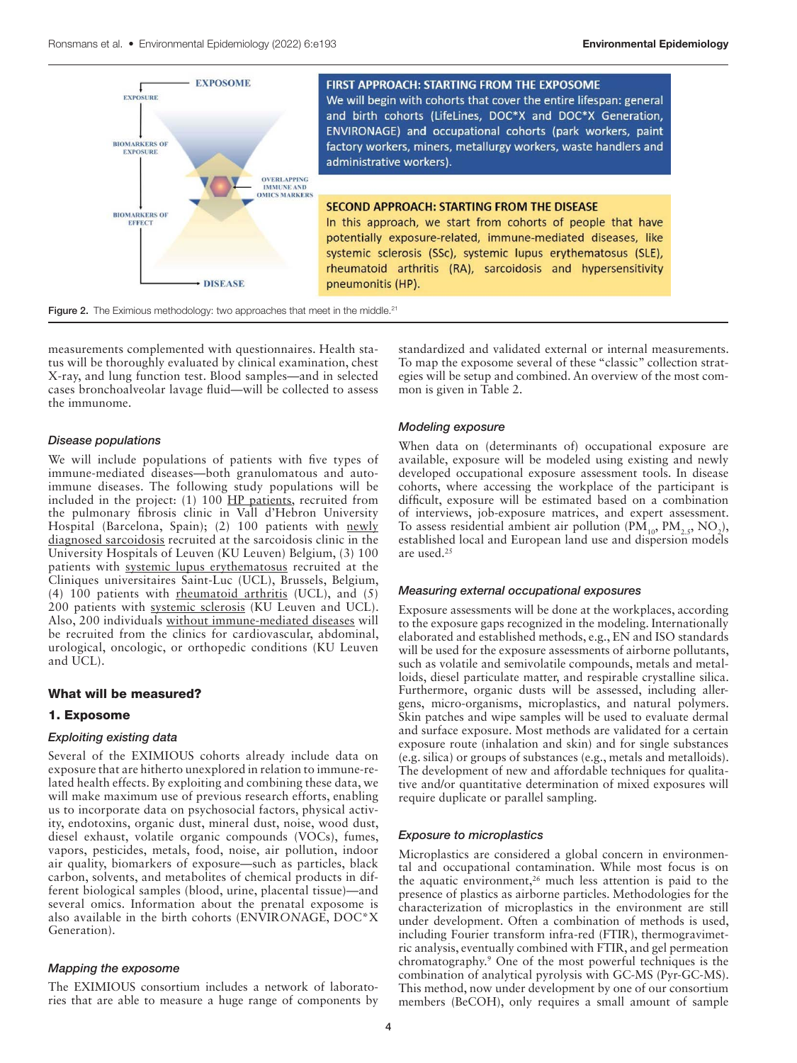

Figure 2. The Eximious methodology: two approaches that meet in the middle.<sup>21</sup>

measurements complemented with questionnaires. Health status will be thoroughly evaluated by clinical examination, chest X-ray, and lung function test. Blood samples—and in selected cases bronchoalveolar lavage fluid—will be collected to assess the immunome.

#### *Disease populations*

We will include populations of patients with five types of immune-mediated diseases—both granulomatous and autoimmune diseases. The following study populations will be included in the project: (1) 100 HP patients, recruited from the pulmonary fibrosis clinic in Vall d'Hebron University Hospital (Barcelona, Spain); (2) 100 patients with newly diagnosed sarcoidosis recruited at the sarcoidosis clinic in the University Hospitals of Leuven (KU Leuven) Belgium, (3) 100 patients with systemic lupus erythematosus recruited at the Cliniques universitaires Saint-Luc (UCL), Brussels, Belgium, (4) 100 patients with <u>rheumatoid arthritis</u> (UCL), and  $(5)$ 200 patients with systemic sclerosis (KU Leuven and UCL). Also, 200 individuals without immune-mediated diseases will be recruited from the clinics for cardiovascular, abdominal, urological, oncologic, or orthopedic conditions (KU Leuven and UCL).

## What will be measured?

## 1. Exposome

## *Exploiting existing data*

Several of the EXIMIOUS cohorts already include data on exposure that are hitherto unexplored in relation to immune-related health effects. By exploiting and combining these data, we will make maximum use of previous research efforts, enabling us to incorporate data on psychosocial factors, physical activity, endotoxins, organic dust, mineral dust, noise, wood dust, diesel exhaust, volatile organic compounds (VOCs), fumes, vapors, pesticides, metals, food, noise, air pollution, indoor air quality, biomarkers of exposure—such as particles, black carbon, solvents, and metabolites of chemical products in different biological samples (blood, urine, placental tissue)—and several omics. Information about the prenatal exposome is also available in the birth cohorts (ENVIR*ON*AGE, DOC\*X Generation).

#### *Mapping the exposome*

The EXIMIOUS consortium includes a network of laboratories that are able to measure a huge range of components by standardized and validated external or internal measurements. To map the exposome several of these "classic" collection strategies will be setup and combined. An overview of the most common is given in Table 2.

#### *Modeling exposure*

When data on (determinants of) occupational exposure are available, exposure will be modeled using existing and newly developed occupational exposure assessment tools. In disease cohorts, where accessing the workplace of the participant is difficult, exposure will be estimated based on a combination of interviews, job-exposure matrices, and expert assessment. To assess residential ambient air pollution  $(PM_{10}, PM_{2.5}, NO_2),$ established local and European land use and dispersion models are used.25

#### *Measuring external occupational exposures*

Exposure assessments will be done at the workplaces, according to the exposure gaps recognized in the modeling. Internationally elaborated and established methods, e.g., EN and ISO standards will be used for the exposure assessments of airborne pollutants, such as volatile and semivolatile compounds, metals and metalloids, diesel particulate matter, and respirable crystalline silica. Furthermore, organic dusts will be assessed, including allergens, micro-organisms, microplastics, and natural polymers. Skin patches and wipe samples will be used to evaluate dermal and surface exposure. Most methods are validated for a certain exposure route (inhalation and skin) and for single substances (e.g. silica) or groups of substances (e.g., metals and metalloids). The development of new and affordable techniques for qualitative and/or quantitative determination of mixed exposures will require duplicate or parallel sampling.

#### *Exposure to microplastics*

Microplastics are considered a global concern in environmental and occupational contamination. While most focus is on the aquatic environment, $26$  much less attention is paid to the presence of plastics as airborne particles. Methodologies for the characterization of microplastics in the environment are still under development. Often a combination of methods is used, including Fourier transform infra-red (FTIR), thermogravimetric analysis, eventually combined with FTIR, and gel permeation chromatography.9 One of the most powerful techniques is the combination of analytical pyrolysis with GC-MS (Pyr-GC-MS). This method, now under development by one of our consortium members (BeCOH), only requires a small amount of sample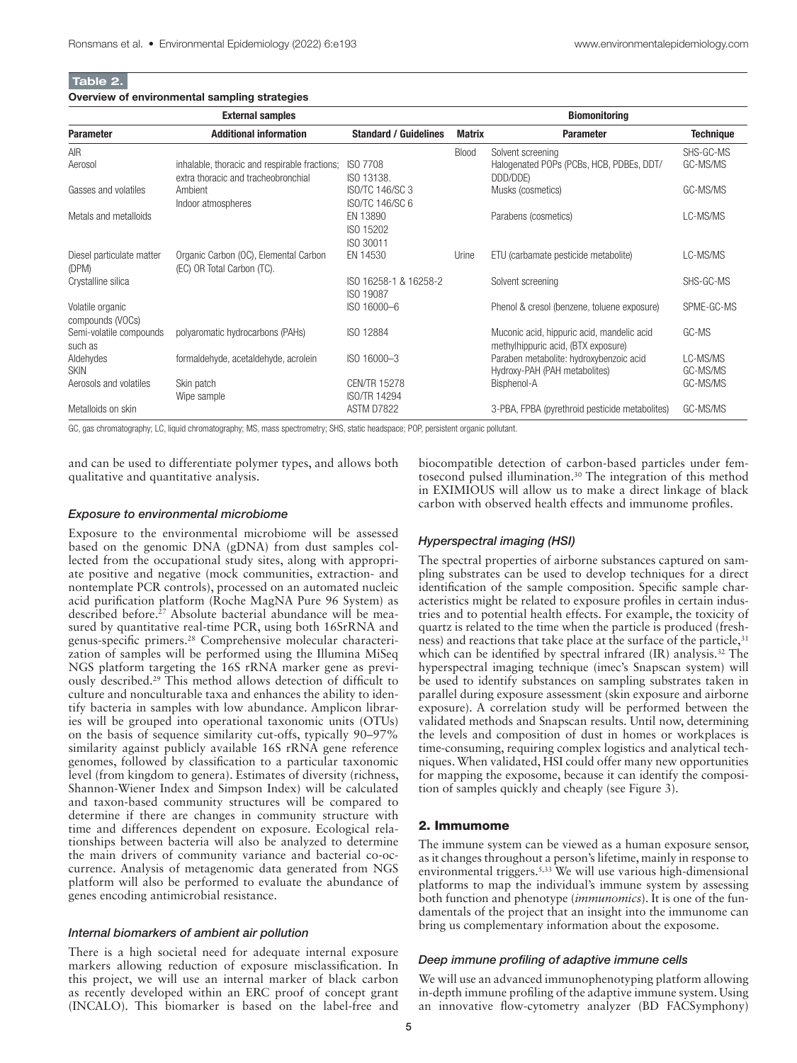## Table 2.

#### Overview of environmental sampling strategies

| <b>External samples</b>   |                                               |                              |               | <b>Biomonitoring</b>                           |                  |  |  |
|---------------------------|-----------------------------------------------|------------------------------|---------------|------------------------------------------------|------------------|--|--|
| <b>Parameter</b>          | <b>Additional information</b>                 | <b>Standard / Guidelines</b> | <b>Matrix</b> | <b>Parameter</b>                               | <b>Technique</b> |  |  |
| <b>AIR</b>                |                                               |                              | Blood         | Solvent screening                              | SHS-GC-MS        |  |  |
| Aerosol                   | inhalable, thoracic and respirable fractions; | <b>ISO 7708</b>              |               | Halogenated POPs (PCBs, HCB, PDBEs, DDT/       | GC-MS/MS         |  |  |
|                           | extra thoracic and tracheobronchial           | ISO 13138.                   |               | DDD/DDE)                                       |                  |  |  |
| Gasses and volatiles      | Ambient                                       | <b>ISO/TC 146/SC 3</b>       |               | Musks (cosmetics)                              | GC-MS/MS         |  |  |
|                           | Indoor atmospheres                            | ISO/TC 146/SC 6              |               |                                                |                  |  |  |
| Metals and metalloids     |                                               | EN 13890                     |               | Parabens (cosmetics)                           | LC-MS/MS         |  |  |
|                           |                                               | ISO 15202                    |               |                                                |                  |  |  |
|                           |                                               | ISO 30011                    |               |                                                |                  |  |  |
| Diesel particulate matter | Organic Carbon (OC), Elemental Carbon         | EN 14530                     | Urine         | ETU (carbamate pesticide metabolite)           | LC-MS/MS         |  |  |
| (DPM)                     | (EC) OR Total Carbon (TC).                    |                              |               |                                                |                  |  |  |
| Crystalline silica        |                                               | ISO 16258-1 & 16258-2        |               | Solvent screening                              | SHS-GC-MS        |  |  |
|                           |                                               | ISO 19087                    |               |                                                |                  |  |  |
| Volatile organic          |                                               | ISO 16000-6                  |               | Phenol & cresol (benzene, toluene exposure)    | SPME-GC-MS       |  |  |
| compounds (VOCs)          |                                               |                              |               |                                                |                  |  |  |
| Semi-volatile compounds   | polyaromatic hydrocarbons (PAHs)              | ISO 12884                    |               | Muconic acid, hippuric acid, mandelic acid     | GC-MS            |  |  |
| such as                   |                                               |                              |               | methylhippuric acid, (BTX exposure)            |                  |  |  |
| Aldehydes                 | formaldehyde, acetaldehyde, acrolein          | ISO 16000-3                  |               | Paraben metabolite: hydroxybenzoic acid        | LC-MS/MS         |  |  |
| <b>SKIN</b>               |                                               |                              |               | Hydroxy-PAH (PAH metabolites)                  | GC-MS/MS         |  |  |
| Aerosols and volatiles    | Skin patch                                    | <b>CEN/TR 15278</b>          |               | Bisphenol-A                                    | GC-MS/MS         |  |  |
|                           | Wipe sample                                   | <b>ISO/TR 14294</b>          |               |                                                |                  |  |  |
| Metalloids on skin        |                                               | ASTM D7822                   |               | 3-PBA, FPBA (pyrethroid pesticide metabolites) | GC-MS/MS         |  |  |

GC, gas chromatography; LC, liquid chromatography; MS, mass spectrometry; SHS, static headspace; POP, persistent organic pollutant.

and can be used to differentiate polymer types, and allows both qualitative and quantitative analysis.

### *Exposure to environmental microbiome*

Exposure to the environmental microbiome will be assessed based on the genomic DNA (gDNA) from dust samples collected from the occupational study sites, along with appropriate positive and negative (mock communities, extraction- and nontemplate PCR controls), processed on an automated nucleic acid purification platform (Roche MagNA Pure 96 System) as described before.<sup>27</sup> Absolute bacterial abundance will be measured by quantitative real-time PCR, using both 16SrRNA and genus-specific primers.28 Comprehensive molecular characterization of samples will be performed using the Illumina MiSeq NGS platform targeting the 16S rRNA marker gene as previously described.29 This method allows detection of difficult to culture and nonculturable taxa and enhances the ability to identify bacteria in samples with low abundance. Amplicon libraries will be grouped into operational taxonomic units (OTUs) on the basis of sequence similarity cut-offs, typically 90–97% similarity against publicly available 16S rRNA gene reference genomes, followed by classification to a particular taxonomic level (from kingdom to genera). Estimates of diversity (richness, Shannon-Wiener Index and Simpson Index) will be calculated and taxon-based community structures will be compared to determine if there are changes in community structure with time and differences dependent on exposure. Ecological relationships between bacteria will also be analyzed to determine the main drivers of community variance and bacterial co-occurrence. Analysis of metagenomic data generated from NGS platform will also be performed to evaluate the abundance of genes encoding antimicrobial resistance.

#### *Internal biomarkers of ambient air pollution*

There is a high societal need for adequate internal exposure markers allowing reduction of exposure misclassification. In this project, we will use an internal marker of black carbon as recently developed within an ERC proof of concept grant (INCALO). This biomarker is based on the label-free and

biocompatible detection of carbon-based particles under femtosecond pulsed illumination.30 The integration of this method in EXIMIOUS will allow us to make a direct linkage of black carbon with observed health effects and immunome profiles.

#### *Hyperspectral imaging (HSI)*

The spectral properties of airborne substances captured on sampling substrates can be used to develop techniques for a direct identification of the sample composition. Specific sample characteristics might be related to exposure profiles in certain industries and to potential health effects. For example, the toxicity of quartz is related to the time when the particle is produced (freshness) and reactions that take place at the surface of the particle,<sup>31</sup> which can be identified by spectral infrared (IR) analysis.<sup>32</sup> The hyperspectral imaging technique (imec's Snapscan system) will be used to identify substances on sampling substrates taken in parallel during exposure assessment (skin exposure and airborne exposure). A correlation study will be performed between the validated methods and Snapscan results. Until now, determining the levels and composition of dust in homes or workplaces is time-consuming, requiring complex logistics and analytical techniques. When validated, HSI could offer many new opportunities for mapping the exposome, because it can identify the composition of samples quickly and cheaply (see Figure 3).

## 2. Immumome

The immune system can be viewed as a human exposure sensor, as it changes throughout a person's lifetime, mainly in response to environmental triggers.<sup>5,33</sup> We will use various high-dimensional platforms to map the individual's immune system by assessing both function and phenotype (*immunomics*). It is one of the fundamentals of the project that an insight into the immunome can bring us complementary information about the exposome.

## *Deep immune profiling of adaptive immune cells*

We will use an advanced immunophenotyping platform allowing in-depth immune profiling of the adaptive immune system. Using an innovative flow-cytometry analyzer (BD FACSymphony)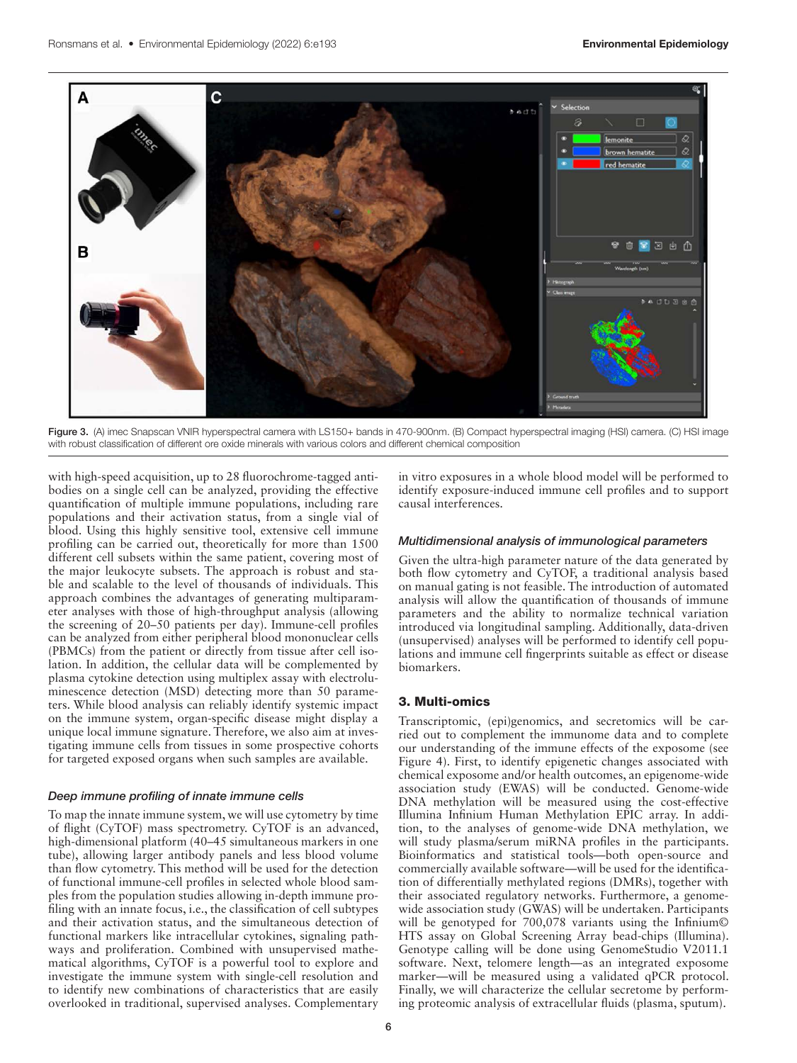

Figure 3. (A) imec Snapscan VNIR hyperspectral camera with LS150+ bands in 470-900nm. (B) Compact hyperspectral imaging (HSI) camera. (C) HSI image with robust classification of different ore oxide minerals with various colors and different chemical composition

with high-speed acquisition, up to 28 fluorochrome-tagged antibodies on a single cell can be analyzed, providing the effective quantification of multiple immune populations, including rare populations and their activation status, from a single vial of blood. Using this highly sensitive tool, extensive cell immune profiling can be carried out, theoretically for more than 1500 different cell subsets within the same patient, covering most of the major leukocyte subsets. The approach is robust and stable and scalable to the level of thousands of individuals. This approach combines the advantages of generating multiparameter analyses with those of high-throughput analysis (allowing the screening of 20–50 patients per day). Immune-cell profiles can be analyzed from either peripheral blood mononuclear cells (PBMCs) from the patient or directly from tissue after cell isolation. In addition, the cellular data will be complemented by plasma cytokine detection using multiplex assay with electroluminescence detection (MSD) detecting more than 50 parameters. While blood analysis can reliably identify systemic impact on the immune system, organ-specific disease might display a unique local immune signature. Therefore, we also aim at investigating immune cells from tissues in some prospective cohorts for targeted exposed organs when such samples are available.

#### *Deep immune profiling of innate immune cells*

To map the innate immune system, we will use cytometry by time of flight (CyTOF) mass spectrometry. CyTOF is an advanced, high-dimensional platform (40–45 simultaneous markers in one tube), allowing larger antibody panels and less blood volume than flow cytometry. This method will be used for the detection of functional immune-cell profiles in selected whole blood samples from the population studies allowing in-depth immune profiling with an innate focus, i.e., the classification of cell subtypes and their activation status, and the simultaneous detection of functional markers like intracellular cytokines, signaling pathways and proliferation. Combined with unsupervised mathematical algorithms, CyTOF is a powerful tool to explore and investigate the immune system with single-cell resolution and to identify new combinations of characteristics that are easily overlooked in traditional, supervised analyses. Complementary

in vitro exposures in a whole blood model will be performed to identify exposure-induced immune cell profiles and to support causal interferences.

#### *Multidimensional analysis of immunological parameters*

Given the ultra-high parameter nature of the data generated by both flow cytometry and CyTOF, a traditional analysis based on manual gating is not feasible. The introduction of automated analysis will allow the quantification of thousands of immune parameters and the ability to normalize technical variation introduced via longitudinal sampling. Additionally, data-driven (unsupervised) analyses will be performed to identify cell populations and immune cell fingerprints suitable as effect or disease biomarkers.

## 3. Multi-omics

Transcriptomic, (epi)genomics, and secretomics will be carried out to complement the immunome data and to complete our understanding of the immune effects of the exposome (see Figure 4). First, to identify epigenetic changes associated with chemical exposome and/or health outcomes, an epigenome-wide association study (EWAS) will be conducted. Genome-wide DNA methylation will be measured using the cost-effective Illumina Infinium Human Methylation EPIC array. In addition, to the analyses of genome-wide DNA methylation, we will study plasma/serum miRNA profiles in the participants. Bioinformatics and statistical tools—both open-source and commercially available software—will be used for the identification of differentially methylated regions (DMRs), together with their associated regulatory networks. Furthermore, a genomewide association study (GWAS) will be undertaken. Participants will be genotyped for 700,078 variants using the Infinium© HTS assay on Global Screening Array bead-chips (Illumina). Genotype calling will be done using GenomeStudio V2011.1 software. Next, telomere length—as an integrated exposome marker—will be measured using a validated qPCR protocol. Finally, we will characterize the cellular secretome by performing proteomic analysis of extracellular fluids (plasma, sputum).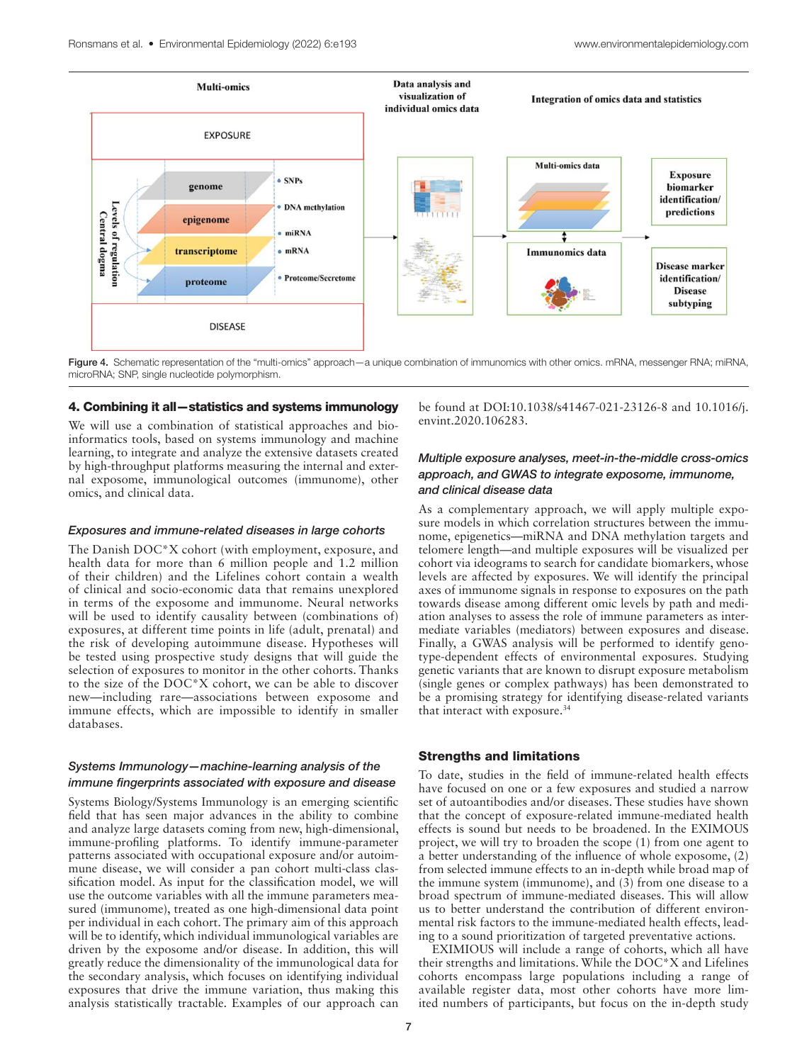

Figure 4. Schematic representation of the "multi-omics" approach—a unique combination of immunomics with other omics. mRNA, messenger RNA; miRNA, microRNA; SNP, single nucleotide polymorphism.

## 4. Combining it all—statistics and systems immunology

We will use a combination of statistical approaches and bioinformatics tools, based on systems immunology and machine learning, to integrate and analyze the extensive datasets created by high-throughput platforms measuring the internal and external exposome, immunological outcomes (immunome), other omics, and clinical data.

#### *Exposures and immune-related diseases in large cohorts*

The Danish DOC\*X cohort (with employment, exposure, and health data for more than 6 million people and 1.2 million of their children) and the Lifelines cohort contain a wealth of clinical and socio-economic data that remains unexplored in terms of the exposome and immunome. Neural networks will be used to identify causality between (combinations of) exposures, at different time points in life (adult, prenatal) and the risk of developing autoimmune disease. Hypotheses will be tested using prospective study designs that will guide the selection of exposures to monitor in the other cohorts. Thanks to the size of the DOC\*X cohort, we can be able to discover new—including rare—associations between exposome and immune effects, which are impossible to identify in smaller databases.

## *Systems Immunology—machine-learning analysis of the immune fingerprints associated with exposure and disease*

Systems Biology/Systems Immunology is an emerging scientific field that has seen major advances in the ability to combine and analyze large datasets coming from new, high-dimensional, immune-profiling platforms. To identify immune-parameter patterns associated with occupational exposure and/or autoimmune disease, we will consider a pan cohort multi-class classification model. As input for the classification model, we will use the outcome variables with all the immune parameters measured (immunome), treated as one high-dimensional data point per individual in each cohort. The primary aim of this approach will be to identify, which individual immunological variables are driven by the exposome and/or disease. In addition, this will greatly reduce the dimensionality of the immunological data for the secondary analysis, which focuses on identifying individual exposures that drive the immune variation, thus making this analysis statistically tractable. Examples of our approach can

be found at DOI:10.1038/s41467-021-23126-8 and 10.1016/j. envint.2020.106283.

# *Multiple exposure analyses, meet-in-the-middle cross-omics approach, and GWAS to integrate exposome, immunome, and clinical disease data*

As a complementary approach, we will apply multiple exposure models in which correlation structures between the immunome, epigenetics—miRNA and DNA methylation targets and telomere length—and multiple exposures will be visualized per cohort via ideograms to search for candidate biomarkers, whose levels are affected by exposures. We will identify the principal axes of immunome signals in response to exposures on the path towards disease among different omic levels by path and mediation analyses to assess the role of immune parameters as intermediate variables (mediators) between exposures and disease. Finally, a GWAS analysis will be performed to identify genotype-dependent effects of environmental exposures. Studying genetic variants that are known to disrupt exposure metabolism (single genes or complex pathways) has been demonstrated to be a promising strategy for identifying disease-related variants that interact with exposure.<sup>34</sup>

## Strengths and limitations

To date, studies in the field of immune-related health effects have focused on one or a few exposures and studied a narrow set of autoantibodies and/or diseases. These studies have shown that the concept of exposure-related immune-mediated health effects is sound but needs to be broadened. In the EXIMOUS project, we will try to broaden the scope (1) from one agent to a better understanding of the influence of whole exposome, (2) from selected immune effects to an in-depth while broad map of the immune system (immunome), and  $(3)$  from one disease to a broad spectrum of immune-mediated diseases. This will allow us to better understand the contribution of different environmental risk factors to the immune-mediated health effects, leading to a sound prioritization of targeted preventative actions.

EXIMIOUS will include a range of cohorts, which all have their strengths and limitations. While the DOC\*X and Lifelines cohorts encompass large populations including a range of available register data, most other cohorts have more limited numbers of participants, but focus on the in-depth study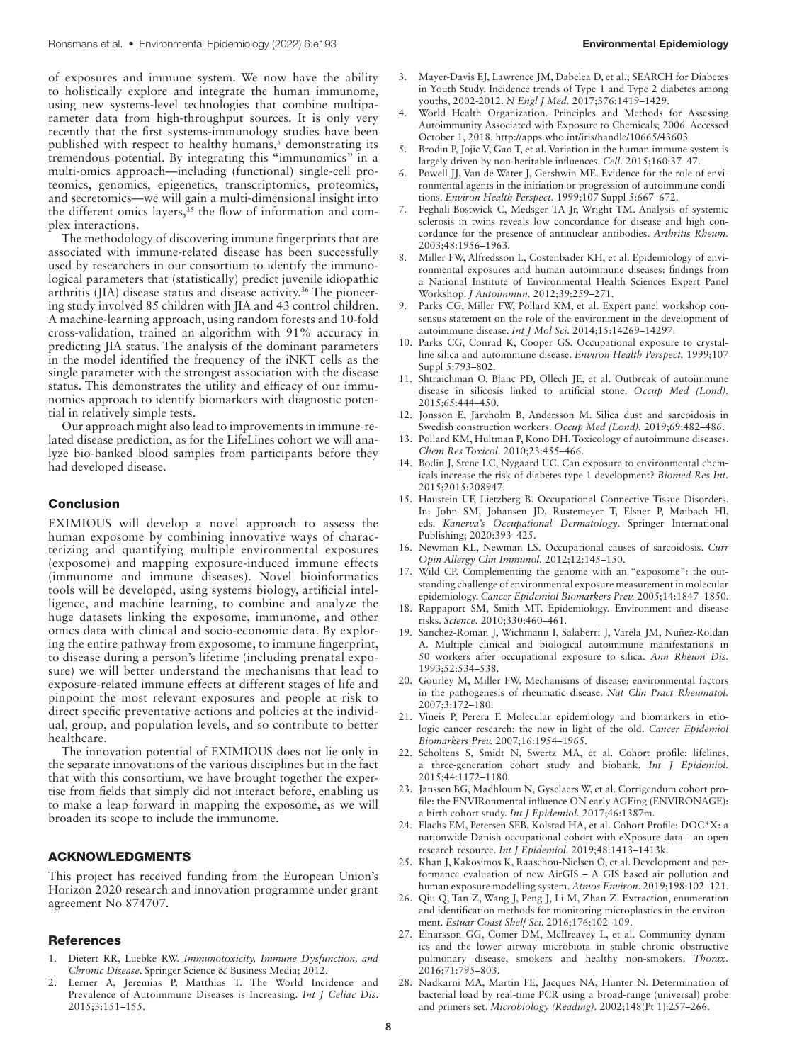of exposures and immune system. We now have the ability to holistically explore and integrate the human immunome, using new systems-level technologies that combine multiparameter data from high-throughput sources. It is only very recently that the first systems-immunology studies have been published with respect to healthy humans, $<sup>5</sup>$  demonstrating its</sup> tremendous potential. By integrating this "immunomics" in a multi-omics approach—including (functional) single-cell proteomics, genomics, epigenetics, transcriptomics, proteomics, and secretomics—we will gain a multi-dimensional insight into the different omics layers,<sup>35</sup> the flow of information and complex interactions.

The methodology of discovering immune fingerprints that are associated with immune-related disease has been successfully used by researchers in our consortium to identify the immunological parameters that (statistically) predict juvenile idiopathic arthritis (JIA) disease status and disease activity.<sup>36</sup> The pioneering study involved 85 children with JIA and 43 control children. A machine-learning approach, using random forests and 10-fold cross-validation, trained an algorithm with 91% accuracy in predicting JIA status. The analysis of the dominant parameters in the model identified the frequency of the iNKT cells as the single parameter with the strongest association with the disease status. This demonstrates the utility and efficacy of our immunomics approach to identify biomarkers with diagnostic potential in relatively simple tests.

Our approach might also lead to improvements in immune-related disease prediction, as for the LifeLines cohort we will analyze bio-banked blood samples from participants before they had developed disease.

## **Conclusion**

EXIMIOUS will develop a novel approach to assess the human exposome by combining innovative ways of characterizing and quantifying multiple environmental exposures (exposome) and mapping exposure-induced immune effects (immunome and immune diseases). Novel bioinformatics tools will be developed, using systems biology, artificial intelligence, and machine learning, to combine and analyze the huge datasets linking the exposome, immunome, and other omics data with clinical and socio-economic data. By exploring the entire pathway from exposome, to immune fingerprint, to disease during a person's lifetime (including prenatal exposure) we will better understand the mechanisms that lead to exposure-related immune effects at different stages of life and pinpoint the most relevant exposures and people at risk to direct specific preventative actions and policies at the individual, group, and population levels, and so contribute to better healthcare.

The innovation potential of EXIMIOUS does not lie only in the separate innovations of the various disciplines but in the fact that with this consortium, we have brought together the expertise from fields that simply did not interact before, enabling us to make a leap forward in mapping the exposome, as we will broaden its scope to include the immunome.

## ACKNOWLEDGMENTS

This project has received funding from the European Union's Horizon 2020 research and innovation programme under grant agreement No 874707.

#### References

- 1. Dietert RR, Luebke RW. *Immunotoxicity, Immune Dysfunction, and Chronic Disease*. Springer Science & Business Media; 2012.
- Lerner A, Jeremias P, Matthias T. The World Incidence and Prevalence of Autoimmune Diseases is Increasing. *Int J Celiac Dis*. 2015;3:151–155.
- World Health Organization. Principles and Methods for Assessing Autoimmunity Associated with Exposure to Chemicals; 2006. Accessed October 1, 2018.<http://apps.who.int/iris/handle/10665/43603>
- 5. Brodin P, Jojic V, Gao T, et al. Variation in the human immune system is largely driven by non-heritable influences. *Cell.* 2015;160:37–47.
- 6. Powell JJ, Van de Water J, Gershwin ME. Evidence for the role of environmental agents in the initiation or progression of autoimmune conditions. *Environ Health Perspect.* 1999;107 Suppl 5:667–672.
- 7. Feghali-Bostwick C, Medsger TA Jr, Wright TM. Analysis of systemic sclerosis in twins reveals low concordance for disease and high concordance for the presence of antinuclear antibodies. *Arthritis Rheum.* 2003;48:1956–1963.
- 8. Miller FW, Alfredsson L, Costenbader KH, et al. Epidemiology of environmental exposures and human autoimmune diseases: findings from a National Institute of Environmental Health Sciences Expert Panel Workshop. *J Autoimmun.* 2012;39:259–271.
- 9. Parks CG, Miller FW, Pollard KM, et al. Expert panel workshop consensus statement on the role of the environment in the development of autoimmune disease. *Int J Mol Sci.* 2014;15:14269–14297.
- 10. Parks CG, Conrad K, Cooper GS. Occupational exposure to crystalline silica and autoimmune disease. *Environ Health Perspect.* 1999;107 Suppl 5:793–802.
- 11. Shtraichman O, Blanc PD, Ollech JE, et al. Outbreak of autoimmune disease in silicosis linked to artificial stone. *Occup Med (Lond).* 2015;65:444–450.
- 12. Jonsson E, Järvholm B, Andersson M. Silica dust and sarcoidosis in Swedish construction workers. *Occup Med (Lond).* 2019;69:482–486.
- 13. Pollard KM, Hultman P, Kono DH. Toxicology of autoimmune diseases. *Chem Res Toxicol.* 2010;23:455–466.
- 14. Bodin J, Stene LC, Nygaard UC. Can exposure to environmental chemicals increase the risk of diabetes type 1 development? *Biomed Res Int.* 2015;2015:208947.
- 15. Haustein UF, Lietzberg B. Occupational Connective Tissue Disorders. In: John SM, Johansen JD, Rustemeyer T, Elsner P, Maibach HI, eds. *Kanerva's Occupational Dermatology*. Springer International Publishing; 2020:393–425.
- 16. Newman KL, Newman LS. Occupational causes of sarcoidosis. *Curr Opin Allergy Clin Immunol.* 2012;12:145–150.
- 17. Wild CP. Complementing the genome with an "exposome": the outstanding challenge of environmental exposure measurement in molecular epidemiology. *Cancer Epidemiol Biomarkers Prev.* 2005;14:1847–1850.
- 18. Rappaport SM, Smith MT. Epidemiology. Environment and disease risks. *Science.* 2010;330:460–461.
- 19. Sanchez-Roman J, Wichmann I, Salaberri J, Varela JM, Nuñez-Roldan A. Multiple clinical and biological autoimmune manifestations in 50 workers after occupational exposure to silica. *Ann Rheum Dis.* 1993;52:534–538.
- 20. Gourley M, Miller FW. Mechanisms of disease: environmental factors in the pathogenesis of rheumatic disease. *Nat Clin Pract Rheumatol.* 2007;3:172–180.
- 21. Vineis P, Perera F. Molecular epidemiology and biomarkers in etiologic cancer research: the new in light of the old. *Cancer Epidemiol Biomarkers Prev.* 2007;16:1954–1965.
- 22. Scholtens S, Smidt N, Swertz MA, et al. Cohort profile: lifelines, a three-generation cohort study and biobank. *Int J Epidemiol.* 2015;44:1172–1180.
- 23. Janssen BG, Madhloum N, Gyselaers W, et al. Corrigendum cohort profile: the ENVIRonmental influence ON early AGEing (ENVIRONAGE): a birth cohort study. *Int J Epidemiol.* 2017;46:1387m.
- 24. Flachs EM, Petersen SEB, Kolstad HA, et al. Cohort Profile: DOC\*X: a nationwide Danish occupational cohort with eXposure data - an open research resource. *Int J Epidemiol.* 2019;48:1413–1413k.
- 25. Khan J, Kakosimos K, Raaschou-Nielsen O, et al. Development and performance evaluation of new AirGIS – A GIS based air pollution and human exposure modelling system. *Atmos Environ*. 2019;198:102–121.
- 26. Qiu Q, Tan Z, Wang J, Peng J, Li M, Zhan Z. Extraction, enumeration and identification methods for monitoring microplastics in the environment. *Estuar Coast Shelf Sci*. 2016;176:102–109.
- 27. Einarsson GG, Comer DM, McIlreavey L, et al. Community dynamics and the lower airway microbiota in stable chronic obstructive pulmonary disease, smokers and healthy non-smokers. *Thorax.* 2016;71:795–803.
- 28. Nadkarni MA, Martin FE, Jacques NA, Hunter N. Determination of bacterial load by real-time PCR using a broad-range (universal) probe and primers set. *Microbiology (Reading).* 2002;148(Pt 1):257–266.